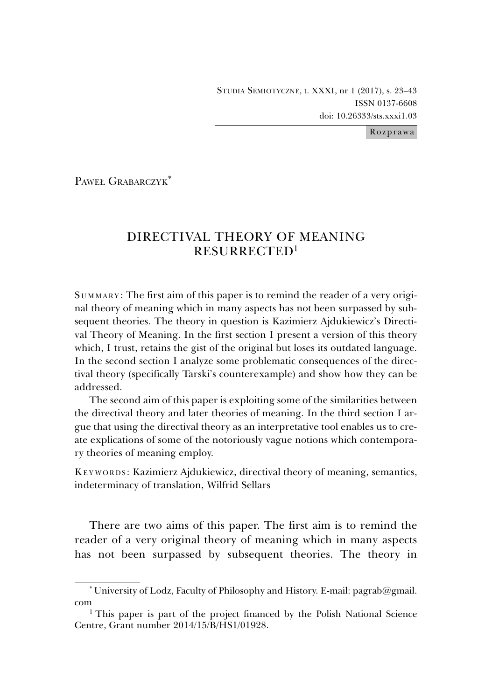STUDIA SEMIOTYCZNE, t. XXXI, nr 1 (2017), s. 23–43 ISSN 0137-6608 doi: 10.26333/sts.xxxi1.03

Rozprawa

PAWEŁ GRABARCZYK\*

# DIRECTIVAL THEORY OF MEANING RESURRECTED1

S UMMARY: The first aim of this paper is to remind the reader of a very original theory of meaning which in many aspects has not been surpassed by subsequent theories. The theory in question is Kazimierz Ajdukiewicz's Directival Theory of Meaning. In the first section I present a version of this theory which, I trust, retains the gist of the original but loses its outdated language. In the second section I analyze some problematic consequences of the directival theory (specifically Tarski's counterexample) and show how they can be addressed.

The second aim of this paper is exploiting some of the similarities between the directival theory and later theories of meaning. In the third section I argue that using the directival theory as an interpretative tool enables us to create explications of some of the notoriously vague notions which contemporary theories of meaning employ.

KEYWORDS: Kazimierz Ajdukiewicz, directival theory of meaning, semantics, indeterminacy of translation, Wilfrid Sellars

There are two aims of this paper. The first aim is to remind the reader of a very original theory of meaning which in many aspects has not been surpassed by subsequent theories. The theory in

<sup>\*</sup> University of Lodz, Faculty of Philosophy and History. E-mail: pagrab@gmail.

com<br><sup>1</sup> This paper is part of the project financed by the Polish National Science Centre, Grant number 2014/15/B/HS1/01928.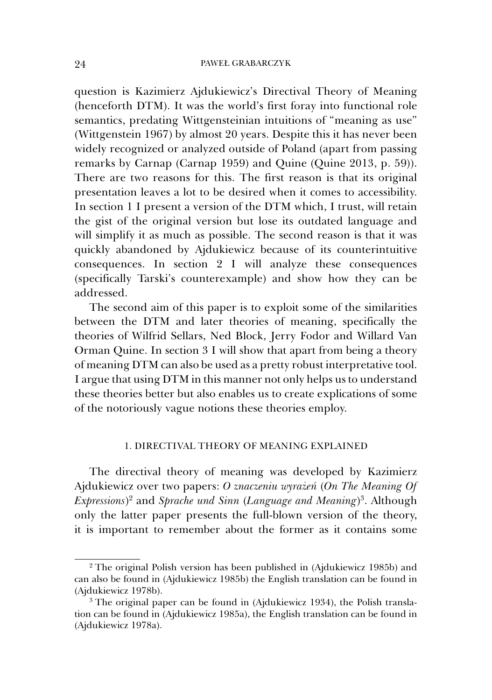question is Kazimierz Ajdukiewicz's Directival Theory of Meaning (henceforth DTM). It was the world's first foray into functional role semantics, predating Wittgensteinian intuitions of "meaning as use" (Wittgenstein 1967) by almost 20 years. Despite this it has never been widely recognized or analyzed outside of Poland (apart from passing remarks by Carnap (Carnap 1959) and Quine (Quine 2013, p. 59)). There are two reasons for this. The first reason is that its original presentation leaves a lot to be desired when it comes to accessibility. In section 1 I present a version of the DTM which, I trust, will retain the gist of the original version but lose its outdated language and will simplify it as much as possible. The second reason is that it was quickly abandoned by Ajdukiewicz because of its counterintuitive consequences. In section 2 I will analyze these consequences (specifically Tarski's counterexample) and show how they can be addressed.

The second aim of this paper is to exploit some of the similarities between the DTM and later theories of meaning, specifically the theories of Wilfrid Sellars, Ned Block, Jerry Fodor and Willard Van Orman Quine. In section 3 I will show that apart from being a theory of meaning DTM can also be used as a pretty robust interpretative tool. I argue that using DTM in this manner not only helps us to understand these theories better but also enables us to create explications of some of the notoriously vague notions these theories employ.

## 1. DIRECTIVAL THEORY OF MEANING EXPLAINED

The directival theory of meaning was developed by Kazimierz Ajdukiewicz over two papers: *O znaczeniu wyrażeń* (*On The Meaning Of Expressions*) 2 and *Sprache und Sinn* (*Language and Meaning*)3. Although only the latter paper presents the full-blown version of the theory, it is important to remember about the former as it contains some

<sup>&</sup>lt;sup>2</sup> The original Polish version has been published in (Ajdukiewicz 1985b) and can also be found in (Ajdukiewicz 1985b) the English translation can be found in (Ajdukiewicz 1978b).

<sup>3</sup> The original paper can be found in (Ajdukiewicz 1934), the Polish translation can be found in (Ajdukiewicz 1985a), the English translation can be found in (Ajdukiewicz 1978a).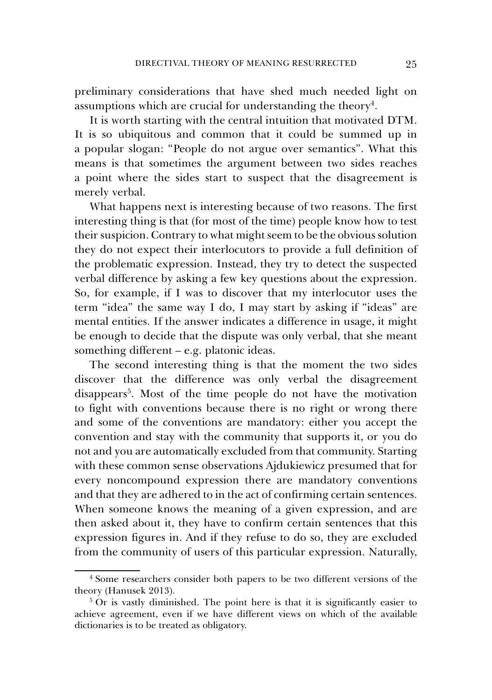preliminary considerations that have shed much needed light on assumptions which are crucial for understanding the theory<sup>4</sup>.

It is worth starting with the central intuition that motivated DTM. It is so ubiquitous and common that it could be summed up in a popular slogan: "People do not argue over semantics". What this means is that sometimes the argument between two sides reaches a point where the sides start to suspect that the disagreement is merely verbal.

What happens next is interesting because of two reasons. The first interesting thing is that (for most of the time) people know how to test their suspicion. Contrary to what might seem to be the obvious solution they do not expect their interlocutors to provide a full definition of the problematic expression. Instead, they try to detect the suspected verbal difference by asking a few key questions about the expression. So, for example, if I was to discover that my interlocutor uses the term "idea" the same way I do, I may start by asking if "ideas" are mental entities. If the answer indicates a difference in usage, it might be enough to decide that the dispute was only verbal, that she meant something different – e.g. platonic ideas.

The second interesting thing is that the moment the two sides discover that the difference was only verbal the disagreement disappears<sup>5</sup>. Most of the time people do not have the motivation to fight with conventions because there is no right or wrong there and some of the conventions are mandatory: either you accept the convention and stay with the community that supports it, or you do not and you are automatically excluded from that community. Starting with these common sense observations Ajdukiewicz presumed that for every noncompound expression there are mandatory conventions and that they are adhered to in the act of confirming certain sentences. When someone knows the meaning of a given expression, and are then asked about it, they have to confirm certain sentences that this expression figures in. And if they refuse to do so, they are excluded from the community of users of this particular expression. Naturally,

<sup>4</sup> Some researchers consider both papers to be two different versions of the theory (Hanusek 2013).

<sup>&</sup>lt;sup>5</sup> Or is vastly diminished. The point here is that it is significantly easier to achieve agreement, even if we have different views on which of the available dictionaries is to be treated as obligatory.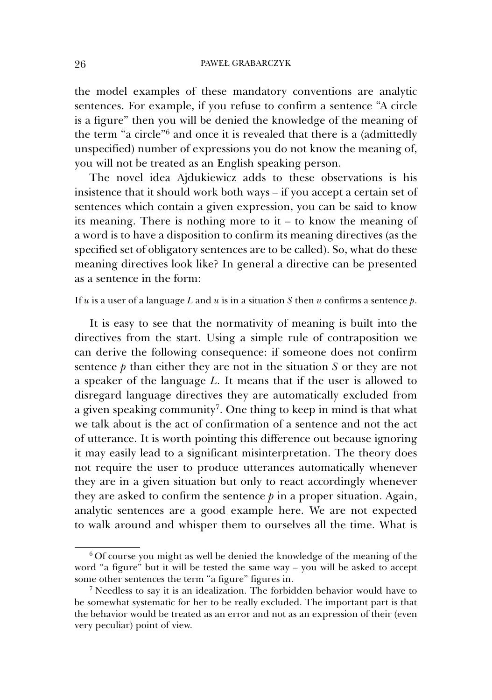the model examples of these mandatory conventions are analytic sentences. For example, if you refuse to confirm a sentence "A circle is a figure" then you will be denied the knowledge of the meaning of the term "a circle"6 and once it is revealed that there is a (admittedly unspecified) number of expressions you do not know the meaning of, you will not be treated as an English speaking person.

The novel idea Ajdukiewicz adds to these observations is his insistence that it should work both ways – if you accept a certain set of sentences which contain a given expression, you can be said to know its meaning. There is nothing more to it – to know the meaning of a word is to have a disposition to confirm its meaning directives (as the specified set of obligatory sentences are to be called). So, what do these meaning directives look like? In general a directive can be presented as a sentence in the form:

If *u* is a user of a language *L* and *u* is in a situation *S* then *u* confirms a sentence *p*.

It is easy to see that the normativity of meaning is built into the directives from the start. Using a simple rule of contraposition we can derive the following consequence: if someone does not confirm sentence *p* than either they are not in the situation *S* or they are not a speaker of the language *L*. It means that if the user is allowed to disregard language directives they are automatically excluded from a given speaking community<sup>7</sup>. One thing to keep in mind is that what we talk about is the act of confirmation of a sentence and not the act of utterance. It is worth pointing this difference out because ignoring it may easily lead to a significant misinterpretation. The theory does not require the user to produce utterances automatically whenever they are in a given situation but only to react accordingly whenever they are asked to confirm the sentence  $p$  in a proper situation. Again, analytic sentences are a good example here. We are not expected to walk around and whisper them to ourselves all the time. What is

<sup>6</sup> Of course you might as well be denied the knowledge of the meaning of the word "a figure" but it will be tested the same way – you will be asked to accept some other sentences the term "a figure" figures in.

<sup>7</sup> Needless to say it is an idealization. The forbidden behavior would have to be somewhat systematic for her to be really excluded. The important part is that the behavior would be treated as an error and not as an expression of their (even very peculiar) point of view.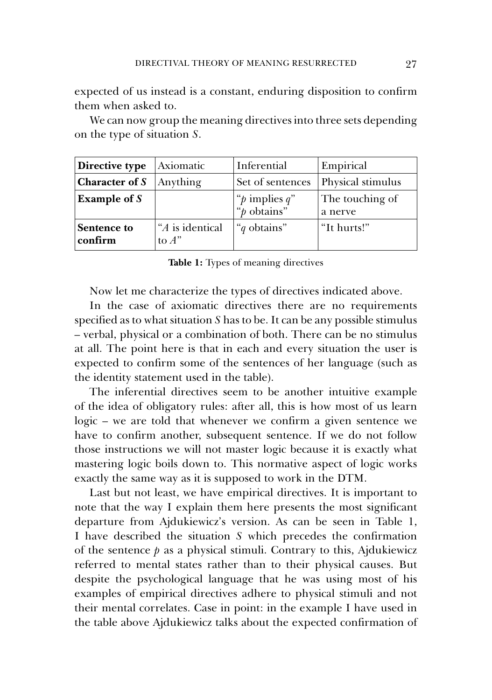expected of us instead is a constant, enduring disposition to confirm them when asked to.

We can now group the meaning directives into three sets depending on the type of situation *S*.

| Directive type         | Axiomatic                   | Inferential                           | Empirical                  |
|------------------------|-----------------------------|---------------------------------------|----------------------------|
| Character of S         | Anything                    | Set of sentences                      | Physical stimulus          |
| Example of $S$         |                             | " $p$ implies $q$ "<br>" $p$ obtains" | The touching of<br>a nerve |
| Sentence to<br>confirm | "A is identical<br>to $A$ " | " <i>q</i> obtains"                   | "It hurts!"                |

**Table 1:** Types of meaning directives

Now let me characterize the types of directives indicated above.

In the case of axiomatic directives there are no requirements specified as to what situation *S* has to be. It can be any possible stimulus – verbal, physical or a combination of both. There can be no stimulus at all. The point here is that in each and every situation the user is expected to confirm some of the sentences of her language (such as the identity statement used in the table).

The inferential directives seem to be another intuitive example of the idea of obligatory rules: after all, this is how most of us learn logic – we are told that whenever we confirm a given sentence we have to confirm another, subsequent sentence. If we do not follow those instructions we will not master logic because it is exactly what mastering logic boils down to. This normative aspect of logic works exactly the same way as it is supposed to work in the DTM.

Last but not least, we have empirical directives. It is important to note that the way I explain them here presents the most significant departure from Ajdukiewicz's version. As can be seen in Table 1, I have described the situation *S* which precedes the confirmation of the sentence  $p$  as a physical stimuli. Contrary to this, Ajdukiewicz referred to mental states rather than to their physical causes. But despite the psychological language that he was using most of his examples of empirical directives adhere to physical stimuli and not their mental correlates. Case in point: in the example I have used in the table above Ajdukiewicz talks about the expected confirmation of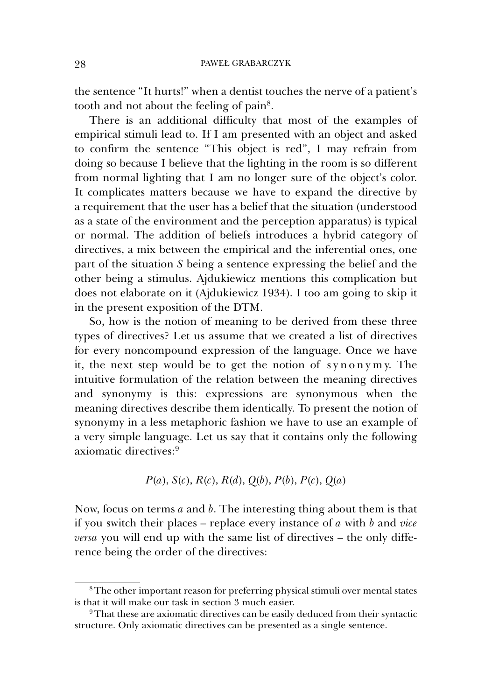the sentence "It hurts!" when a dentist touches the nerve of a patient's tooth and not about the feeling of pain8.

There is an additional difficulty that most of the examples of empirical stimuli lead to. If I am presented with an object and asked to confirm the sentence "This object is red", I may refrain from doing so because I believe that the lighting in the room is so different from normal lighting that I am no longer sure of the object's color. It complicates matters because we have to expand the directive by a requirement that the user has a belief that the situation (understood as a state of the environment and the perception apparatus) is typical or normal. The addition of beliefs introduces a hybrid category of directives, a mix between the empirical and the inferential ones, one part of the situation *S* being a sentence expressing the belief and the other being a stimulus. Ajdukiewicz mentions this complication but does not elaborate on it (Ajdukiewicz 1934). I too am going to skip it in the present exposition of the DTM.

So, how is the notion of meaning to be derived from these three types of directives? Let us assume that we created a list of directives for every noncompound expression of the language. Once we have it, the next step would be to get the notion of synonymy. The intuitive formulation of the relation between the meaning directives and synonymy is this: expressions are synonymous when the meaning directives describe them identically. To present the notion of synonymy in a less metaphoric fashion we have to use an example of a very simple language. Let us say that it contains only the following axiomatic directives:9

$$
P(a)
$$
,  $S(c)$ ,  $R(c)$ ,  $R(d)$ ,  $Q(b)$ ,  $P(b)$ ,  $P(c)$ ,  $Q(a)$ 

Now, focus on terms *a* and *b*. The interesting thing about them is that if you switch their places – replace every instance of *a* with *b* and *vice versa* you will end up with the same list of directives – the only difference being the order of the directives:

<sup>8</sup> The other important reason for preferring physical stimuli over mental states is that it will make our task in section 3 much easier.

<sup>&</sup>lt;sup>9</sup> That these are axiomatic directives can be easily deduced from their syntactic structure. Only axiomatic directives can be presented as a single sentence.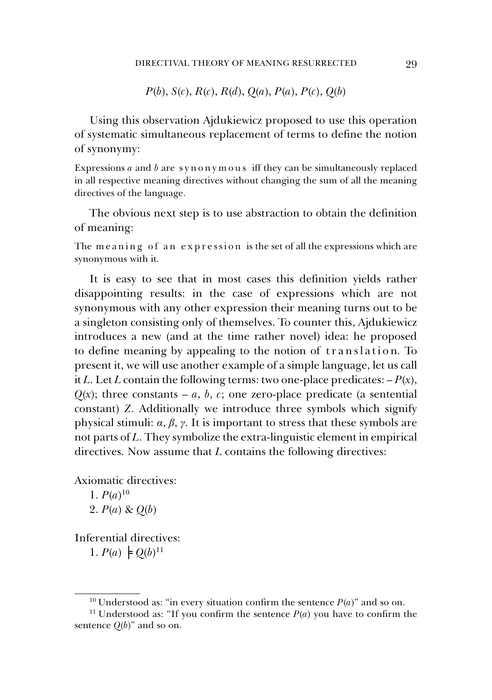*P*(*b*), *S*(*c*), *R*(*c*), *R*(*d*), *Q*(*a*), *P*(*a*), *P*(*c*), *Q*(*b*)

Using this observation Ajdukiewicz proposed to use this operation of systematic simultaneous replacement of terms to define the notion of synonymy:

Expressions *a* and *b* are synonymous iff they can be simultaneously replaced in all respective meaning directives without changing the sum of all the meaning directives of the language.

The obvious next step is to use abstraction to obtain the definition of meaning:

The meaning of an expression is the set of all the expressions which are synonymous with it.

It is easy to see that in most cases this definition yields rather disappointing results: in the case of expressions which are not synonymous with any other expression their meaning turns out to be a singleton consisting only of themselves. To counter this, Ajdukiewicz introduces a new (and at the time rather novel) idea: he proposed to define meaning by appealing to the notion of translation. To present it, we will use another example of a simple language, let us call it *L*. Let *L* contain the following terms: two one-place predicates:  $-P(x)$ ,  $Q(x)$ ; three constants – *a*, *b*, *c*; one zero-place predicate (a sentential constant) *Z*. Additionally we introduce three symbols which signify physical stimuli: *α*, *β*, *γ*. It is important to stress that these symbols are not parts of *L*. They symbolize the extra-linguistic element in empirical directives. Now assume that *L* contains the following directives:

Axiomatic directives:

1.  $P(a)^{10}$ 2. *P*(*a*) & *Q*(*b*)

Inferential directives: 1.  $P(a) \models Q(b)^{11}$ 

<sup>&</sup>lt;sup>10</sup> Understood as: "in every situation confirm the sentence  $P(a)$ " and so on.

<sup>&</sup>lt;sup>11</sup> Understood as: "If you confirm the sentence  $P(a)$  you have to confirm the sentence  $Q(b)$ " and so on.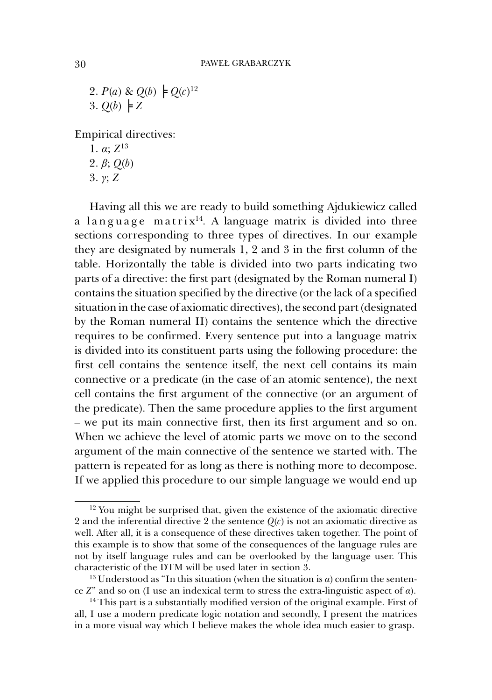2.  $P(a) \& Q(b) \models Q(c)^{12}$ 3.  $Q(b) \models Z$ 

Empirical directives:

1. *α*; *Z*<sup>13</sup> 2. *β*; *Q*(*b*) 3. *γ*; *Z*

Having all this we are ready to build something Ajdukiewicz called a language matrix<sup>14</sup>. A language matrix is divided into three sections corresponding to three types of directives. In our example they are designated by numerals 1, 2 and 3 in the first column of the table. Horizontally the table is divided into two parts indicating two parts of a directive: the first part (designated by the Roman numeral I) contains the situation specified by the directive (or the lack of a specified situation in the case of axiomatic directives), the second part (designated by the Roman numeral II) contains the sentence which the directive requires to be confirmed. Every sentence put into a language matrix is divided into its constituent parts using the following procedure: the first cell contains the sentence itself, the next cell contains its main connective or a predicate (in the case of an atomic sentence), the next cell contains the first argument of the connective (or an argument of the predicate). Then the same procedure applies to the first argument – we put its main connective first, then its first argument and so on. When we achieve the level of atomic parts we move on to the second argument of the main connective of the sentence we started with. The pattern is repeated for as long as there is nothing more to decompose. If we applied this procedure to our simple language we would end up

 $12$  You might be surprised that, given the existence of the axiomatic directive 2 and the inferential directive 2 the sentence  $Q(c)$  is not an axiomatic directive as well. After all, it is a consequence of these directives taken together. The point of this example is to show that some of the consequences of the language rules are not by itself language rules and can be overlooked by the language user. This characteristic of the DTM will be used later in section 3.

<sup>&</sup>lt;sup>13</sup> Understood as "In this situation (when the situation is *α*) confirm the sentence *Z*" and so on (I use an indexical term to stress the extra-linguistic aspect of *α*).

<sup>&</sup>lt;sup>14</sup> This part is a substantially modified version of the original example. First of all, I use a modern predicate logic notation and secondly, I present the matrices in a more visual way which I believe makes the whole idea much easier to grasp.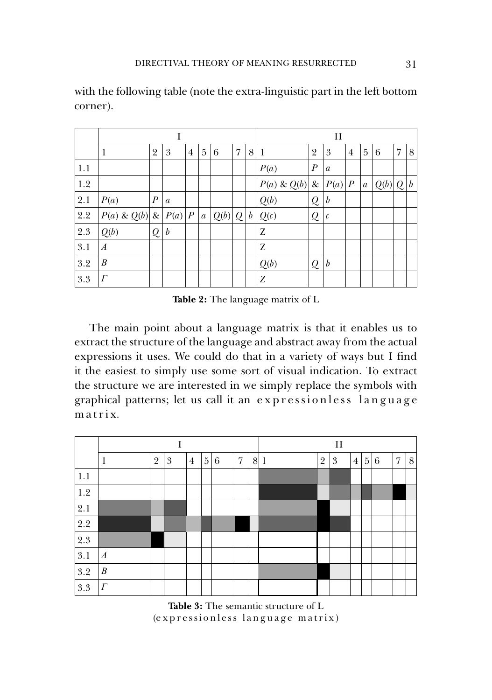|         |                     |                  |                  |                |                  |         | П |   |                  |                  |                  |                |                  |       |   |                  |
|---------|---------------------|------------------|------------------|----------------|------------------|---------|---|---|------------------|------------------|------------------|----------------|------------------|-------|---|------------------|
|         | 1                   | $\overline{2}$   | 3                | $\overline{4}$ | 5                | 6       | 7 | 8 | 1                | $\overline{2}$   | 3                | $\overline{4}$ | 5                | 6     | 7 | 8                |
| 1.1     |                     |                  |                  |                |                  |         |   |   | P(a)             | $\boldsymbol{P}$ | $\mathfrak{a}$   |                |                  |       |   |                  |
| 1.2     |                     |                  |                  |                |                  |         |   |   | $P(a) \& Q(b)$   |                  | & $ P(a) P$      |                | $\boldsymbol{a}$ | Q(b)Q |   | $\boldsymbol{b}$ |
| 2.1     | P(a)                | $\boldsymbol{P}$ | $\mathfrak{a}$   |                |                  |         |   |   | $\mathcal{Q}(b)$ | Q                | $\boldsymbol{b}$ |                |                  |       |   |                  |
| $2.2\,$ | $P(a) \& Q(b) \& P$ |                  | P(a)   P         |                | $\boldsymbol{a}$ | Q(b)  Q |   | b | Q(c)             | $\mathcal{Q}$    | $\mathcal C$     |                |                  |       |   |                  |
| 2.3     | Q(b)                | Q                | $\boldsymbol{b}$ |                |                  |         |   |   | Z                |                  |                  |                |                  |       |   |                  |
| 3.1     | $\boldsymbol{A}$    |                  |                  |                |                  |         |   |   | Z                |                  |                  |                |                  |       |   |                  |
| 3.2     | B                   |                  |                  |                |                  |         |   |   | Q(b)             | $\mathcal{Q}$    | $\boldsymbol{b}$ |                |                  |       |   |                  |
| 3.3     | $\Gamma$            |                  |                  |                |                  |         |   |   | Z                |                  |                  |                |                  |       |   |                  |

with the following table (note the extra-linguistic part in the left bottom corner).

**Table 2:** The language matrix of L

The main point about a language matrix is that it enables us to extract the structure of the language and abstract away from the actual expressions it uses. We could do that in a variety of ways but I find it the easiest to simply use some sort of visual indication. To extract the structure we are interested in we simply replace the symbols with graphical patterns; let us call it an expressionless language m a t r i x.



**Table 3:** The semantic structure of L (expressionless language matrix)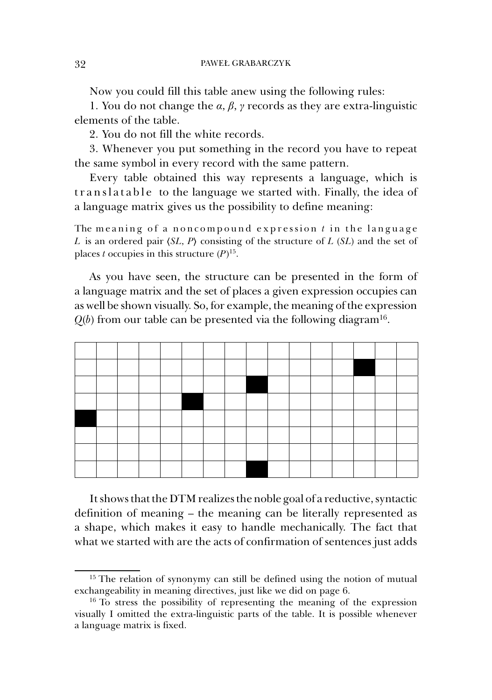Now you could fill this table anew using the following rules:

1. You do not change the *α*, *β*, *γ* records as they are extra-linguistic elements of the table.

2. You do not fill the white records.

3. Whenever you put something in the record you have to repeat the same symbol in every record with the same pattern.

Every table obtained this way represents a language, which is translatable to the language we started with. Finally, the idea of a language matrix gives us the possibility to define meaning:

The meaning of a noncompound expression  $t$  in the language *L* is an ordered pair 〈*SL*, *P*〉 consisting of the structure of *L* (*SL*) and the set of places *t* occupies in this structure (*P*)15.

As you have seen, the structure can be presented in the form of a language matrix and the set of places a given expression occupies can as well be shown visually. So, for example, the meaning of the expression  $Q(b)$  from our table can be presented via the following diagram<sup>16</sup>.



It shows that the DTM realizes the noble goal of a reductive, syntactic definition of meaning – the meaning can be literally represented as a shape, which makes it easy to handle mechanically. The fact that what we started with are the acts of confirmation of sentences just adds

 $15$  The relation of synonymy can still be defined using the notion of mutual exchangeability in meaning directives, just like we did on page 6.

<sup>&</sup>lt;sup>16</sup> To stress the possibility of representing the meaning of the expression visually I omitted the extra-linguistic parts of the table. It is possible whenever a language matrix is fixed.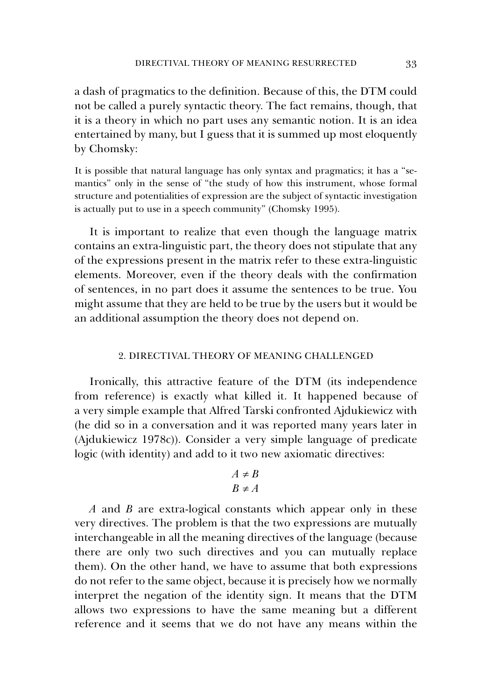a dash of pragmatics to the definition. Because of this, the DTM could not be called a purely syntactic theory. The fact remains, though, that it is a theory in which no part uses any semantic notion. It is an idea entertained by many, but I guess that it is summed up most eloquently by Chomsky:

It is possible that natural language has only syntax and pragmatics; it has a "semantics" only in the sense of "the study of how this instrument, whose formal structure and potentialities of expression are the subject of syntactic investigation is actually put to use in a speech community" (Chomsky 1995).

It is important to realize that even though the language matrix contains an extra-linguistic part, the theory does not stipulate that any of the expressions present in the matrix refer to these extra-linguistic elements. Moreover, even if the theory deals with the confirmation of sentences, in no part does it assume the sentences to be true. You might assume that they are held to be true by the users but it would be an additional assumption the theory does not depend on.

# 2. DIRECTIVAL THEORY OF MEANING CHALLENGED

Ironically, this attractive feature of the DTM (its independence from reference) is exactly what killed it. It happened because of a very simple example that Alfred Tarski confronted Ajdukiewicz with (he did so in a conversation and it was reported many years later in (Ajdukiewicz 1978c)). Consider a very simple language of predicate logic (with identity) and add to it two new axiomatic directives:

$$
A \neq B
$$
  

$$
B \neq A
$$

*A* and *B* are extra-logical constants which appear only in these very directives. The problem is that the two expressions are mutually interchangeable in all the meaning directives of the language (because there are only two such directives and you can mutually replace them). On the other hand, we have to assume that both expressions do not refer to the same object, because it is precisely how we normally interpret the negation of the identity sign. It means that the DTM allows two expressions to have the same meaning but a different reference and it seems that we do not have any means within the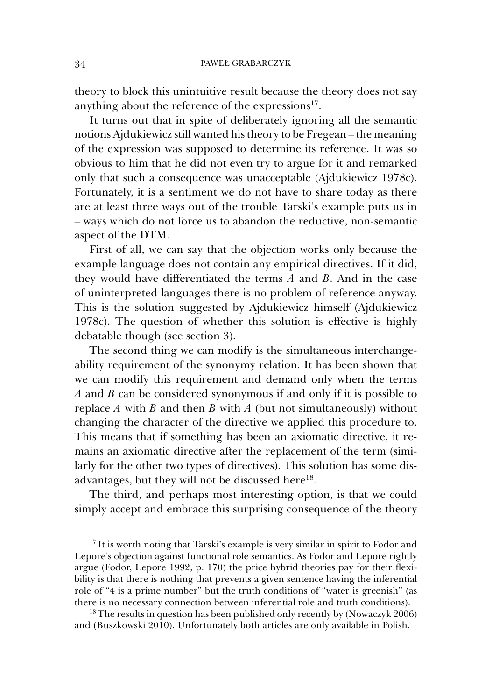theory to block this unintuitive result because the theory does not say anything about the reference of the expressions<sup>17</sup>.

It turns out that in spite of deliberately ignoring all the semantic notions Ajdukiewicz still wanted his theory to be Fregean – the meaning of the expression was supposed to determine its reference. It was so obvious to him that he did not even try to argue for it and remarked only that such a consequence was unacceptable (Ajdukiewicz 1978c). Fortunately, it is a sentiment we do not have to share today as there are at least three ways out of the trouble Tarski's example puts us in – ways which do not force us to abandon the reductive, non-semantic aspect of the DTM.

First of all, we can say that the objection works only because the example language does not contain any empirical directives. If it did, they would have differentiated the terms *A* and *B*. And in the case of uninterpreted languages there is no problem of reference anyway. This is the solution suggested by Ajdukiewicz himself (Ajdukiewicz 1978c). The question of whether this solution is effective is highly debatable though (see section 3).

The second thing we can modify is the simultaneous interchangeability requirement of the synonymy relation. It has been shown that we can modify this requirement and demand only when the terms *A* and *B* can be considered synonymous if and only if it is possible to replace  $A$  with  $B$  and then  $B$  with  $A$  (but not simultaneously) without changing the character of the directive we applied this procedure to. This means that if something has been an axiomatic directive, it remains an axiomatic directive after the replacement of the term (similarly for the other two types of directives). This solution has some disadvantages, but they will not be discussed here<sup>18</sup>.

The third, and perhaps most interesting option, is that we could simply accept and embrace this surprising consequence of the theory

<sup>&</sup>lt;sup>17</sup> It is worth noting that Tarski's example is very similar in spirit to Fodor and Lepore's objection against functional role semantics. As Fodor and Lepore rightly argue (Fodor, Lepore 1992, p. 170) the price hybrid theories pay for their flexibility is that there is nothing that prevents a given sentence having the inferential role of "4 is a prime number" but the truth conditions of "water is greenish" (as there is no necessary connection between inferential role and truth conditions).

<sup>&</sup>lt;sup>18</sup> The results in question has been published only recently by (Nowaczyk 2006) and (Buszkowski 2010). Unfortunately both articles are only available in Polish.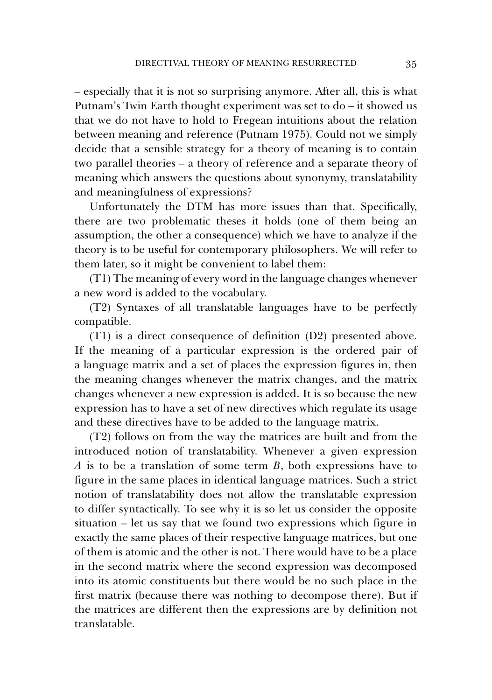– especially that it is not so surprising anymore. After all, this is what Putnam's Twin Earth thought experiment was set to do – it showed us that we do not have to hold to Fregean intuitions about the relation between meaning and reference (Putnam 1975). Could not we simply decide that a sensible strategy for a theory of meaning is to contain two parallel theories – a theory of reference and a separate theory of meaning which answers the questions about synonymy, translatability and meaningfulness of expressions?

Unfortunately the DTM has more issues than that. Specifically, there are two problematic theses it holds (one of them being an assumption, the other a consequence) which we have to analyze if the theory is to be useful for contemporary philosophers. We will refer to them later, so it might be convenient to label them:

(T1) The meaning of every word in the language changes whenever a new word is added to the vocabulary.

(T2) Syntaxes of all translatable languages have to be perfectly compatible.

(T1) is a direct consequence of definition (D2) presented above. If the meaning of a particular expression is the ordered pair of a language matrix and a set of places the expression figures in, then the meaning changes whenever the matrix changes, and the matrix changes whenever a new expression is added. It is so because the new expression has to have a set of new directives which regulate its usage and these directives have to be added to the language matrix.

(T2) follows on from the way the matrices are built and from the introduced notion of translatability. Whenever a given expression *A* is to be a translation of some term *B*, both expressions have to figure in the same places in identical language matrices. Such a strict notion of translatability does not allow the translatable expression to differ syntactically. To see why it is so let us consider the opposite situation – let us say that we found two expressions which figure in exactly the same places of their respective language matrices, but one of them is atomic and the other is not. There would have to be a place in the second matrix where the second expression was decomposed into its atomic constituents but there would be no such place in the first matrix (because there was nothing to decompose there). But if the matrices are different then the expressions are by definition not translatable.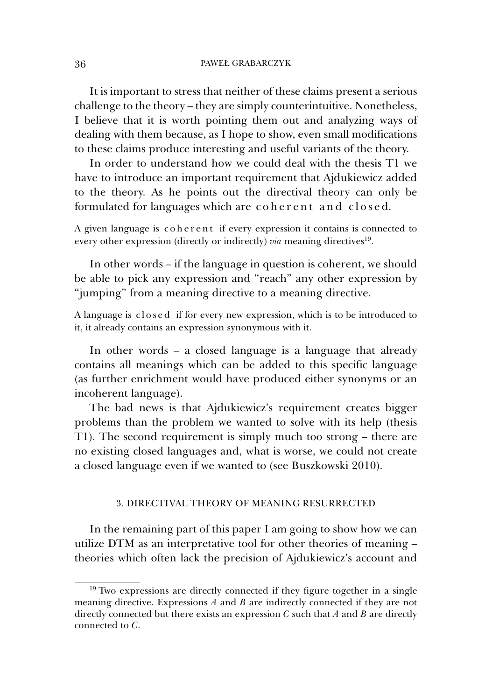It is important to stress that neither of these claims present a serious challenge to the theory – they are simply counterintuitive. Nonetheless, I believe that it is worth pointing them out and analyzing ways of dealing with them because, as I hope to show, even small modifications to these claims produce interesting and useful variants of the theory.

In order to understand how we could deal with the thesis T1 we have to introduce an important requirement that Ajdukiewicz added to the theory. As he points out the directival theory can only be formulated for languages which are coherent and closed.

A given language is coherent if every expression it contains is connected to every other expression (directly or indirectly) *via* meaning directives<sup>19</sup>.

In other words – if the language in question is coherent, we should be able to pick any expression and "reach" any other expression by "jumping" from a meaning directive to a meaning directive.

A language is closed if for every new expression, which is to be introduced to it, it already contains an expression synonymous with it.

In other words – a closed language is a language that already contains all meanings which can be added to this specific language (as further enrichment would have produced either synonyms or an incoherent language).

The bad news is that Ajdukiewicz's requirement creates bigger problems than the problem we wanted to solve with its help (thesis T1). The second requirement is simply much too strong – there are no existing closed languages and, what is worse, we could not create a closed language even if we wanted to (see Buszkowski 2010).

## 3. DIRECTIVAL THEORY OF MEANING RESURRECTED

In the remaining part of this paper I am going to show how we can utilize DTM as an interpretative tool for other theories of meaning – theories which often lack the precision of Ajdukiewicz's account and

<sup>&</sup>lt;sup>19</sup> Two expressions are directly connected if they figure together in a single meaning directive. Expressions *A* and *B* are indirectly connected if they are not directly connected but there exists an expression *C* such that *A* and *B* are directly connected to *C*.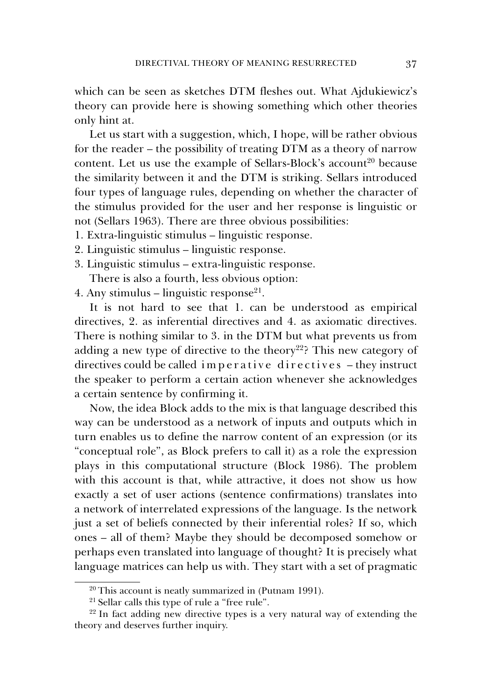which can be seen as sketches DTM fleshes out. What Ajdukiewicz's theory can provide here is showing something which other theories only hint at.

Let us start with a suggestion, which, I hope, will be rather obvious for the reader – the possibility of treating DTM as a theory of narrow content. Let us use the example of Sellars-Block's account<sup>20</sup> because the similarity between it and the DTM is striking. Sellars introduced four types of language rules, depending on whether the character of the stimulus provided for the user and her response is linguistic or not (Sellars 1963). There are three obvious possibilities:

- 1. Extra-linguistic stimulus linguistic response.
- 2. Linguistic stimulus linguistic response.
- 3. Linguistic stimulus extra-linguistic response. There is also a fourth, less obvious option:

4. Any stimulus – linguistic response<sup>21</sup>.

It is not hard to see that 1. can be understood as empirical directives, 2. as inferential directives and 4. as axiomatic directives. There is nothing similar to 3. in the DTM but what prevents us from adding a new type of directive to the theory<sup>22</sup>? This new category of directives could be called imperative directives  $-$  they instruct the speaker to perform a certain action whenever she acknowledges a certain sentence by confirming it.

Now, the idea Block adds to the mix is that language described this way can be understood as a network of inputs and outputs which in turn enables us to define the narrow content of an expression (or its "conceptual role", as Block prefers to call it) as a role the expression plays in this computational structure (Block 1986). The problem with this account is that, while attractive, it does not show us how exactly a set of user actions (sentence confirmations) translates into a network of interrelated expressions of the language. Is the network just a set of beliefs connected by their inferential roles? If so, which ones – all of them? Maybe they should be decomposed somehow or perhaps even translated into language of thought? It is precisely what language matrices can help us with. They start with a set of pragmatic

<sup>20</sup> This account is neatly summarized in (Putnam 1991).

<sup>&</sup>lt;sup>21</sup> Sellar calls this type of rule a "free rule".

<sup>&</sup>lt;sup>22</sup> In fact adding new directive types is a very natural way of extending the theory and deserves further inquiry.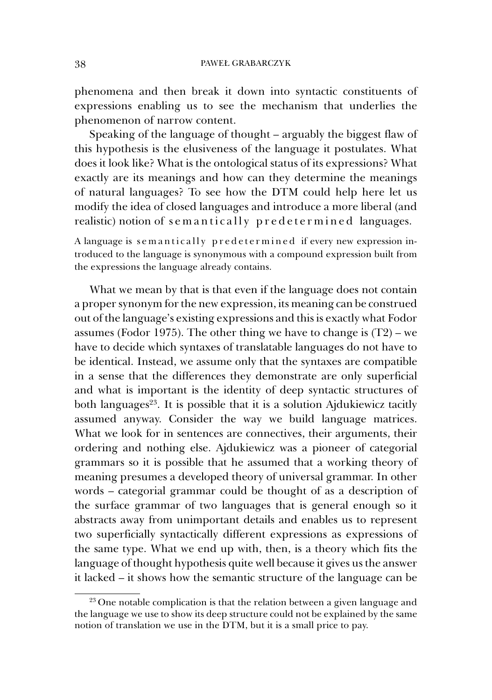phenomena and then break it down into syntactic constituents of expressions enabling us to see the mechanism that underlies the phenomenon of narrow content.

Speaking of the language of thought – arguably the biggest flaw of this hypothesis is the elusiveness of the language it postulates. What does it look like? What is the ontological status of its expressions? What exactly are its meanings and how can they determine the meanings of natural languages? To see how the DTM could help here let us modify the idea of closed languages and introduce a more liberal (and realistic) notion of semantically predetermined languages.

A language is semantically predetermined if every new expression introduced to the language is synonymous with a compound expression built from the expressions the language already contains.

What we mean by that is that even if the language does not contain a proper synonym for the new expression, its meaning can be construed out of the language's existing expressions and this is exactly what Fodor assumes (Fodor 1975). The other thing we have to change is  $(T2)$  – we have to decide which syntaxes of translatable languages do not have to be identical. Instead, we assume only that the syntaxes are compatible in a sense that the differences they demonstrate are only superficial and what is important is the identity of deep syntactic structures of both languages $23$ . It is possible that it is a solution Ajdukiewicz tacitly assumed anyway. Consider the way we build language matrices. What we look for in sentences are connectives, their arguments, their ordering and nothing else. Ajdukiewicz was a pioneer of categorial grammars so it is possible that he assumed that a working theory of meaning presumes a developed theory of universal grammar. In other words – categorial grammar could be thought of as a description of the surface grammar of two languages that is general enough so it abstracts away from unimportant details and enables us to represent two superficially syntactically different expressions as expressions of the same type. What we end up with, then, is a theory which fits the language of thought hypothesis quite well because it gives us the answer it lacked – it shows how the semantic structure of the language can be

<sup>&</sup>lt;sup>23</sup> One notable complication is that the relation between a given language and the language we use to show its deep structure could not be explained by the same notion of translation we use in the DTM, but it is a small price to pay.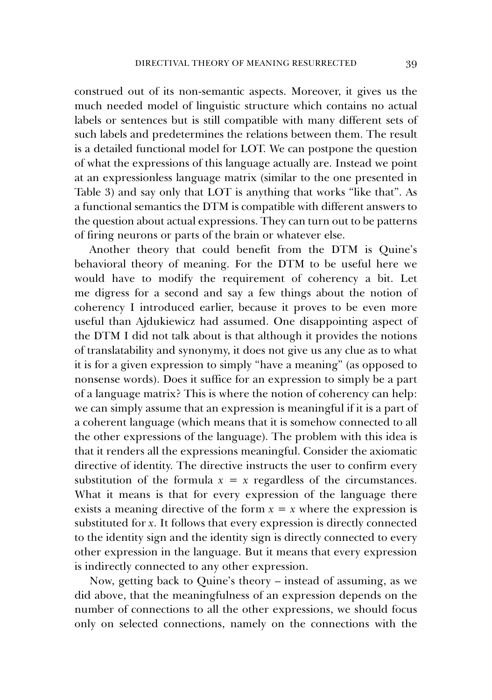construed out of its non-semantic aspects. Moreover, it gives us the much needed model of linguistic structure which contains no actual labels or sentences but is still compatible with many different sets of such labels and predetermines the relations between them. The result is a detailed functional model for LOT. We can postpone the question of what the expressions of this language actually are. Instead we point at an expressionless language matrix (similar to the one presented in Table 3) and say only that LOT is anything that works "like that". As a functional semantics the DTM is compatible with different answers to the question about actual expressions. They can turn out to be patterns of firing neurons or parts of the brain or whatever else.

Another theory that could benefit from the DTM is Quine's behavioral theory of meaning. For the DTM to be useful here we would have to modify the requirement of coherency a bit. Let me digress for a second and say a few things about the notion of coherency I introduced earlier, because it proves to be even more useful than Ajdukiewicz had assumed. One disappointing aspect of the DTM I did not talk about is that although it provides the notions of translatability and synonymy, it does not give us any clue as to what it is for a given expression to simply "have a meaning" (as opposed to nonsense words). Does it suffice for an expression to simply be a part of a language matrix? This is where the notion of coherency can help: we can simply assume that an expression is meaningful if it is a part of a coherent language (which means that it is somehow connected to all the other expressions of the language). The problem with this idea is that it renders all the expressions meaningful. Consider the axiomatic directive of identity. The directive instructs the user to confirm every substitution of the formula  $x = x$  regardless of the circumstances. What it means is that for every expression of the language there exists a meaning directive of the form  $x = x$  where the expression is substituted for *x*. It follows that every expression is directly connected to the identity sign and the identity sign is directly connected to every other expression in the language. But it means that every expression is indirectly connected to any other expression.

Now, getting back to Quine's theory – instead of assuming, as we did above, that the meaningfulness of an expression depends on the number of connections to all the other expressions, we should focus only on selected connections, namely on the connections with the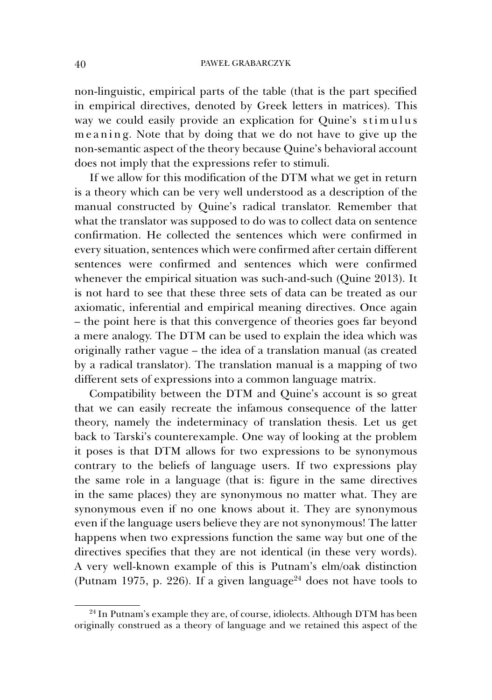non-linguistic, empirical parts of the table (that is the part specified in empirical directives, denoted by Greek letters in matrices). This way we could easily provide an explication for Quine's stimulus me aning. Note that by doing that we do not have to give up the non-semantic aspect of the theory because Quine's behavioral account does not imply that the expressions refer to stimuli.

If we allow for this modification of the DTM what we get in return is a theory which can be very well understood as a description of the manual constructed by Quine's radical translator. Remember that what the translator was supposed to do was to collect data on sentence confirmation. He collected the sentences which were confirmed in every situation, sentences which were confirmed after certain different sentences were confirmed and sentences which were confirmed whenever the empirical situation was such-and-such (Quine 2013). It is not hard to see that these three sets of data can be treated as our axiomatic, inferential and empirical meaning directives. Once again – the point here is that this convergence of theories goes far beyond a mere analogy. The DTM can be used to explain the idea which was originally rather vague – the idea of a translation manual (as created by a radical translator). The translation manual is a mapping of two different sets of expressions into a common language matrix.

Compatibility between the DTM and Quine's account is so great that we can easily recreate the infamous consequence of the latter theory, namely the indeterminacy of translation thesis. Let us get back to Tarski's counterexample. One way of looking at the problem it poses is that DTM allows for two expressions to be synonymous contrary to the beliefs of language users. If two expressions play the same role in a language (that is: figure in the same directives in the same places) they are synonymous no matter what. They are synonymous even if no one knows about it. They are synonymous even if the language users believe they are not synonymous! The latter happens when two expressions function the same way but one of the directives specifies that they are not identical (in these very words). A very well-known example of this is Putnam's elm/oak distinction (Putnam 1975, p. 226). If a given language<sup>24</sup> does not have tools to

<sup>&</sup>lt;sup>24</sup> In Putnam's example they are, of course, idiolects. Although DTM has been originally construed as a theory of language and we retained this aspect of the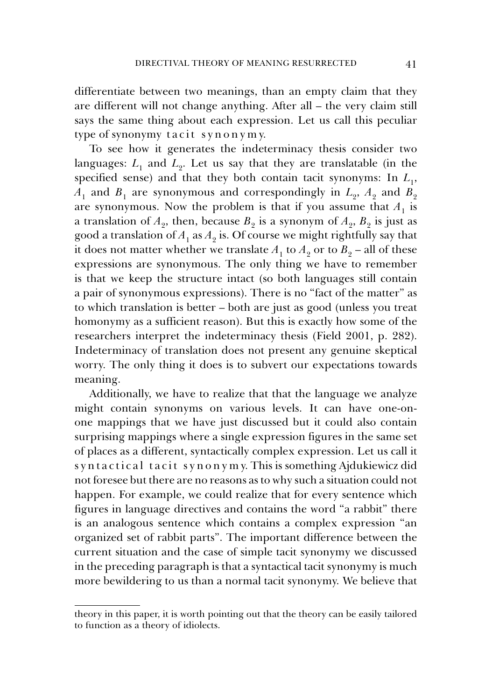differentiate between two meanings, than an empty claim that they are different will not change anything. After all – the very claim still says the same thing about each expression. Let us call this peculiar type of synonymy tacit  $sy \, n \, o \, n \, y \, m \, y$ .

To see how it generates the indeterminacy thesis consider two languages:  $L_1$  and  $L_2$ . Let us say that they are translatable (in the specified sense) and that they both contain tacit synonyms: In  $L<sub>1</sub>$ ,  $A_1$  and  $B_1$  are synonymous and correspondingly in  $L_2$ ,  $A_2$  and  $B_2$ are synonymous. Now the problem is that if you assume that  $A_1$  is a translation of  $A_2$ , then, because  $B_2$  is a synonym of  $A_2$ ,  $B_2$  is just as good a translation of  $A_1$  as  $A_2$  is. Of course we might rightfully say that it does not matter whether we translate  $A_1$  to  $A_2$  or to  $B_2$  – all of these expressions are synonymous. The only thing we have to remember is that we keep the structure intact (so both languages still contain a pair of synonymous expressions). There is no "fact of the matter" as to which translation is better – both are just as good (unless you treat homonymy as a sufficient reason). But this is exactly how some of the researchers interpret the indeterminacy thesis (Field 2001, p. 282). Indeterminacy of translation does not present any genuine skeptical worry. The only thing it does is to subvert our expectations towards meaning.

Additionally, we have to realize that that the language we analyze might contain synonyms on various levels. It can have one-onone mappings that we have just discussed but it could also contain surprising mappings where a single expression figures in the same set of places as a different, syntactically complex expression. Let us call it s y n t a c t i c a l t a c i t s y n o n y m y. This is something Ajdukiewicz did not foresee but there are no reasons as to why such a situation could not happen. For example, we could realize that for every sentence which figures in language directives and contains the word "a rabbit" there is an analogous sentence which contains a complex expression "an organized set of rabbit parts". The important difference between the current situation and the case of simple tacit synonymy we discussed in the preceding paragraph is that a syntactical tacit synonymy is much more bewildering to us than a normal tacit synonymy. We believe that

theory in this paper, it is worth pointing out that the theory can be easily tailored to function as a theory of idiolects.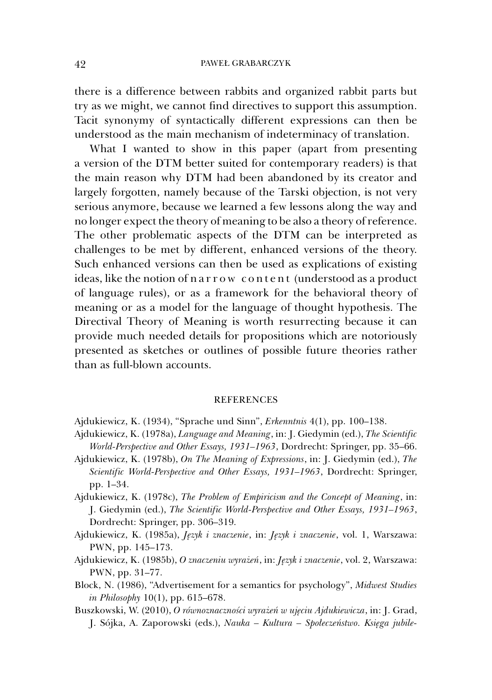there is a difference between rabbits and organized rabbit parts but try as we might, we cannot find directives to support this assumption. Tacit synonymy of syntactically different expressions can then be understood as the main mechanism of indeterminacy of translation.

What I wanted to show in this paper (apart from presenting a version of the DTM better suited for contemporary readers) is that the main reason why DTM had been abandoned by its creator and largely forgotten, namely because of the Tarski objection, is not very serious anymore, because we learned a few lessons along the way and no longer expect the theory of meaning to be also a theory of reference. The other problematic aspects of the DTM can be interpreted as challenges to be met by different, enhanced versions of the theory. Such enhanced versions can then be used as explications of existing ideas, like the notion of n a r row content (understood as a product of language rules), or as a framework for the behavioral theory of meaning or as a model for the language of thought hypothesis. The Directival Theory of Meaning is worth resurrecting because it can provide much needed details for propositions which are notoriously presented as sketches or outlines of possible future theories rather than as full-blown accounts.

#### **REFERENCES**

- Ajdukiewicz, K. (1934), "Sprache und Sinn", *Erkenntnis* 4(1), pp. 100–138.
- Ajdukiewicz, K. (1978a), *Language and Meaning*, in: J. Giedymin (ed.), *The Scientific World-Perspective and Other Essays, 1931–1963*, Dordrecht: Springer, pp. 35–66.
- Ajdukiewicz, K. (1978b), *On The Meaning of Expressions*, in: J. Giedymin (ed.), *The Scientific World-Perspective and Other Essays, 1931–1963*, Dordrecht: Springer, pp. 1–34.
- Ajdukiewicz, K. (1978c), *The Problem of Empiricism and the Concept of Meaning*, in: J. Giedymin (ed.), *The Scientific World-Perspective and Other Essays, 1931–1963*, Dordrecht: Springer, pp. 306–319.
- Ajdukiewicz, K. (1985a), *Język i znaczenie*, in: *Język i znaczenie*, vol. 1, Warszawa: PWN, pp. 145–173.
- Ajdukiewicz, K. (1985b), *O znaczeniu wyrażeń*, in: *Język i znaczenie*, vol. 2, Warszawa: PWN, pp. 31–77.
- Block, N. (1986), "Advertisement for a semantics for psychology", *Midwest Studies in Philosophy* 10(1), pp. 615–678.
- Buszkowski, W. (2010), *O równoznaczności wyrażeń w ujęciu Ajdukiewicza*, in: J. Grad, J. Sójka, A. Zaporowski (eds.), *Nauka – Kultura – Społeczeństwo. Księga jubile-*